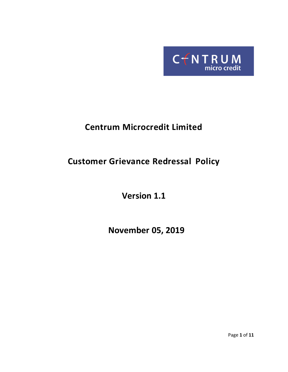

# **Centrum Microcredit Limited**

# **Customer Grievance Redressal Policy**

**Version 1.1**

 **November 05, 2019**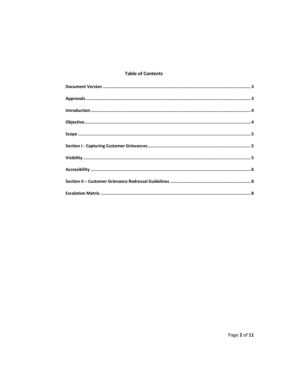## **Table of Contents**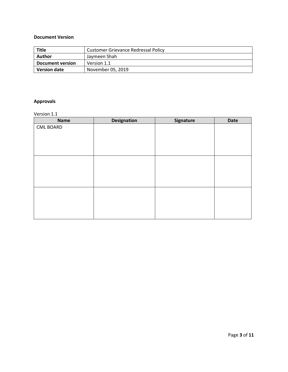## <span id="page-2-0"></span>**Document Version**

| <b>Title</b>        | <b>Customer Grievance Redressal Policy</b> |  |  |
|---------------------|--------------------------------------------|--|--|
| Author              | Jaymeen Shah                               |  |  |
| Document version    | Version 1.1                                |  |  |
| <b>Version date</b> | November 05, 2019                          |  |  |

# <span id="page-2-1"></span>**Approvals**

Version 1.1

| <b>Name</b>      | <b>Designation</b> | Signature | <b>Date</b> |
|------------------|--------------------|-----------|-------------|
| <b>CML BOARD</b> |                    |           |             |
|                  |                    |           |             |
|                  |                    |           |             |
|                  |                    |           |             |
|                  |                    |           |             |
|                  |                    |           |             |
|                  |                    |           |             |
|                  |                    |           |             |
|                  |                    |           |             |
|                  |                    |           |             |
|                  |                    |           |             |
|                  |                    |           |             |
|                  |                    |           |             |
|                  |                    |           |             |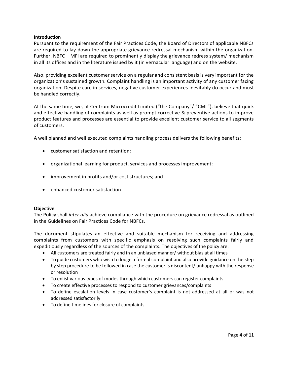#### <span id="page-3-0"></span>**Introduction**

Pursuant to the requirement of the Fair Practices Code, the Board of Directors of applicable NBFCs are required to lay down the appropriate grievance redressal mechanism within the organization. Further, NBFC – MFI are required to prominently display the grievance redress system/ mechanism in all its offices and in the literature issued by it (in vernacular language) and on the website.

Also, providing excellent customer service on a regular and consistent basis is very important for the organization's sustained growth. Complaint handling is an important activity of any customer facing organization. Despite care in services, negative customer experiences inevitably do occur and must be handled correctly.

At the same time, we, at Centrum Microcredit Limited ("the Company"/ "CML"), believe that quick and effective handling of complaints as well as prompt corrective & preventive actions to improve product features and processes are essential to provide excellent customer service to all segments of customers.

A well planned and well executed complaints handling process delivers the following benefits:

- customer satisfaction and retention;
- organizational learning for product, services and processes improvement;
- improvement in profits and/or cost structures; and
- enhanced customer satisfaction

## <span id="page-3-1"></span>**Objective**

The Policy shall *inter alia* achieve compliance with the procedure on grievance redressal as outlined in the Guidelines on Fair Practices Code for NBFCs.

The document stipulates an effective and suitable mechanism for receiving and addressing complaints from customers with specific emphasis on resolving such complaints fairly and expeditiously regardless of the sources of the complaints. The objectives of the policy are:

- All customers are treated fairly and in an unbiased manner/ without bias at all times
- To guide customers who wish to lodge a formal complaint and also provide guidance on the step by step procedure to be followed in case the customer is discontent/ unhappy with the response or resolution
- To enlist various types of modes through which customers can register complaints
- To create effective processes to respond to customer grievances/complaints
- To define escalation levels in case customer's complaint is not addressed at all or was not addressed satisfactorily
- To define timelines for closure of complaints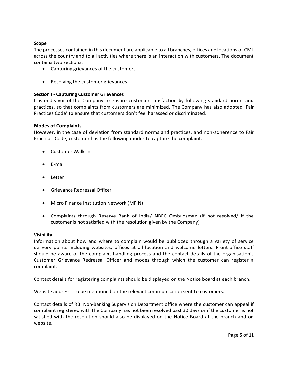## <span id="page-4-0"></span>**Scope**

The processes contained in this document are applicable to all branches, offices and locations of CML across the country and to all activities where there is an interaction with customers. The document contains two sections:

- Capturing grievances of the customers
- Resolving the customer grievances

## <span id="page-4-1"></span>**Section I - Capturing Customer Grievances**

It is endeavor of the Company to ensure customer satisfaction by following standard norms and practices, so that complaints from customers are minimized. The Company has also adopted 'Fair Practices Code' to ensure that customers don't feel harassed or discriminated.

## **Modes of Complaints**

However, in the case of deviation from standard norms and practices, and non-adherence to Fair Practices Code, customer has the following modes to capture the complaint:

- Customer Walk-in
- E-mail
- Letter
- Grievance Redressal Officer
- Micro Finance Institution Network (MFIN)
- Complaints through Reserve Bank of India/ NBFC Ombudsman (if not resolved/ if the customer is not satisfied with the resolution given by the Company)

#### <span id="page-4-2"></span>**Visibility**

Information about how and where to complain would be publicized through a variety of service delivery points including websites, offices at all location and welcome letters. Front‐office staff should be aware of the complaint handling process and the contact details of the organisation's Customer Grievance Redressal Officer and modes through which the customer can register a complaint.

Contact details for registering complaints should be displayed on the Notice board at each branch.

Website address ‐ to be mentioned on the relevant communication sent to customers.

Contact details of RBI Non-Banking Supervision Department office where the customer can appeal if complaint registered with the Company has not been resolved past 30 days or if the customer is not satisfied with the resolution should also be displayed on the Notice Board at the branch and on website.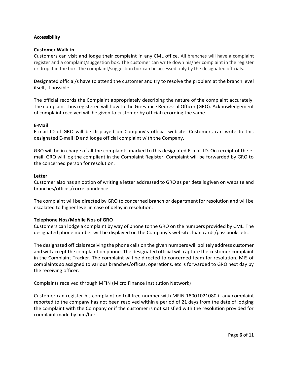## <span id="page-5-0"></span>**Accessibility**

#### **Customer Walk-in**

Customers can visit and lodge their complaint in any CML office. All branches will have a complaint register and a complaint/suggestion box. The customer can write down his/her complaint in the register or drop it in the box. The complaint/suggestion box can be accessed only by the designated officials.

Designated official/s have to attend the customer and try to resolve the problem at the branch level itself, if possible.

The official records the Complaint appropriately describing the nature of the complaint accurately. The complaint thus registered will flow to the Grievance Redressal Officer (GRO). Acknowledgement of complaint received will be given to customer by official recording the same.

#### **E-Mail**

E‐mail ID of GRO will be displayed on Company's official website. Customers can write to this designated E‐mail ID and lodge official complaint with the Company.

GRO will be in charge of all the complaints marked to this designated E-mail ID. On receipt of the email, GRO will log the compliant in the Complaint Register. Complaint will be forwarded by GRO to the concerned person for resolution.

#### **Letter**

Customer also has an option of writing a letter addressed to GRO as per details given on website and branches/offices/correspondence.

The complaint will be directed by GRO to concerned branch or department for resolution and will be escalated to higher level in case of delay in resolution.

## **Telephone Nos/Mobile Nos of GRO**

Customers can lodge a complaint by way of phone to the GRO on the numbers provided by CML. The designated phone number will be displayed on the Company's website, loan cards/passbooks etc.

The designated officials receiving the phone calls on the given numbers will politely address customer and will accept the complaint on phone. The designated official will capture the customer complaint in the Complaint Tracker. The complaint will be directed to concerned team for resolution. MIS of complaints so assigned to various branches/offices, operations, etc is forwarded to GRO next day by the receiving officer.

Complaints received through MFIN (Micro Finance Institution Network)

Customer can register his complaint on toll free number with MFIN 18001021080 if any complaint reported to the company has not been resolved within a period of 21 days from the date of lodging the complaint with the Company or if the customer is not satisfied with the resolution provided for complaint made by him/her.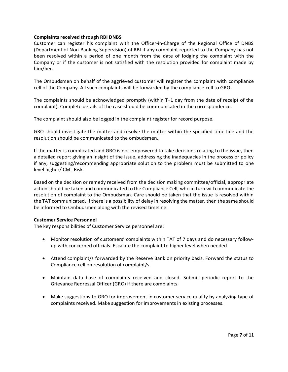#### **Complaints received through RBI DNBS**

Customer can register his complaint with the Officer‐in‐Charge of the Regional Office of DNBS (Department of Non‐Banking Supervision) of RBI if any complaint reported to the Company has not been resolved within a period of one month from the date of lodging the complaint with the Company or if the customer is not satisfied with the resolution provided for complaint made by him/her.

The Ombudsmen on behalf of the aggrieved customer will register the complaint with compliance cell of the Company. All such complaints will be forwarded by the compliance cell to GRO.

The complaints should be acknowledged promptly (within T+1 day from the date of receipt of the complaint). Complete details of the case should be communicated in the correspondence.

The complaint should also be logged in the complaint register for record purpose.

GRO should investigate the matter and resolve the matter within the specified time line and the resolution should be communicated to the ombudsmen.

If the matter is complicated and GRO is not empowered to take decisions relating to the issue, then a detailed report giving an insight of the issue, addressing the inadequacies in the process or policy if any, suggesting/recommending appropriate solution to the problem must be submitted to one level higher/ CML Risk.

Based on the decision or remedy received from the decision making committee/official, appropriate action should be taken and communicated to the Compliance Cell, who in turn will communicate the resolution of complaint to the Ombudsman. Care should be taken that the issue is resolved within the TAT communicated. If there is a possibility of delay in resolving the matter, then the same should be informed to Ombudsmen along with the revised timeline.

## **Customer Service Personnel**

The key responsibilities of Customer Service personnel are:

- Monitor resolution of customers' complaints within TAT of 7 days and do necessary followup with concerned officials. Escalate the complaint to higher level when needed
- Attend complaint/s forwarded by the Reserve Bank on priority basis. Forward the status to Compliance cell on resolution of complaint/s.
- Maintain data base of complaints received and closed. Submit periodic report to the Grievance Redressal Officer (GRO) if there are complaints.
- Make suggestions to GRO for improvement in customer service quality by analyzing type of complaints received. Make suggestion for improvements in existing processes.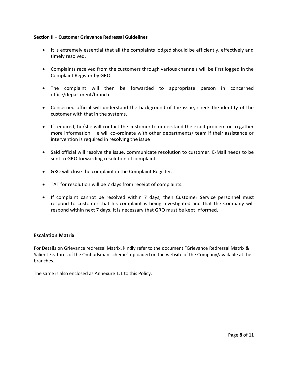#### <span id="page-7-0"></span>**Section II – Customer Grievance Redressal Guidelines**

- It is extremely essential that all the complaints lodged should be efficiently, effectively and timely resolved.
- Complaints received from the customers through various channels will be first logged in the Complaint Register by GRO.
- The complaint will then be forwarded to appropriate person in concerned office/department/branch.
- Concerned official will understand the background of the issue; check the identity of the customer with that in the systems.
- If required, he/she will contact the customer to understand the exact problem or to gather more information. He will co-ordinate with other departments/ team if their assistance or intervention is required in resolving the issue
- Said official will resolve the issue, communicate resolution to customer. E‐Mail needs to be sent to GRO forwarding resolution of complaint.
- GRO will close the complaint in the Complaint Register.
- TAT for resolution will be 7 days from receipt of complaints.
- If complaint cannot be resolved within 7 days, then Customer Service personnel must respond to customer that his complaint is being investigated and that the Company will respond within next 7 days. It is necessary that GRO must be kept informed.

## <span id="page-7-1"></span>**Escalation Matrix**

For Details on Grievance redressal Matrix, kindly refer to the document "Grievance Redressal Matrix & Salient Features of the Ombudsman scheme" uploaded on the website of the Company/available at the branches.

The same is also enclosed as Annexure 1.1 to this Policy.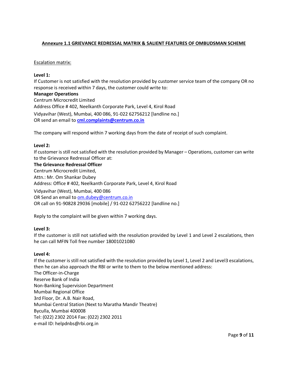## **Annexure 1.1 GRIEVANCE REDRESSAL MATRIX & SALIENT FEATURES OF OMBUDSMAN SCHEME**

#### Escalation matrix:

## **Level 1:**

If Customer is not satisfied with the resolution provided by customer service team of the company OR no response is received within 7 days, the customer could write to: **Manager Operations**  Centrum Microcredit Limited Address Office # 402, Neelkanth Corporate Park, Level 4, Kirol Road Vidyavihar (West), Mumbai, 400 086, 91-022 62756212 [landline no.] OR send an email to **[cml.complaints@centrum.co.in](mailto:cml.complaints@centrum.co.in)**

The company will respond within 7 working days from the date of receipt of such complaint.

#### **Level 2:**

If customer is still not satisfied with the resolution provided by Manager – Operations, customer can write to the Grievance Redressal Officer at:

**The Grievance Redressal Officer** Centrum Microcredit Limited, Attn.: Mr. Om Shankar Dubey Address: Office # 402, Neelkanth Corporate Park, Level 4, Kirol Road Vidyavihar (West), Mumbai, 400 086 OR Send an email to [om.dubey@centrum.co.in](mailto:om.dubey@centrum.co.in) OR call on 91-90828 29036 [mobile] / 91-022 62756222 [landline no.]

Reply to the complaint will be given within 7 working days.

## **Level 3:**

If the customer is still not satisfied with the resolution provided by Level 1 and Level 2 escalations, then he can call MFIN Toll free number 18001021080

#### **Level 4:**

If the customer is still not satisfied with the resolution provided by Level 1, Level 2 and Level3 escalations, then he can also approach the RBI or write to them to the below mentioned address: The Officer-in-Charge Reserve Bank of India Non-Banking Supervision Department Mumbai Regional Office 3rd Floor, Dr. A.B. Nair Road, Mumbai Central Station (Next to Maratha Mandir Theatre) Byculla, Mumbai 400008 Tel: (022) 2302 2014 Fax: (022) 2302 2011 e-mail ID: helpdnbs@rbi.org.in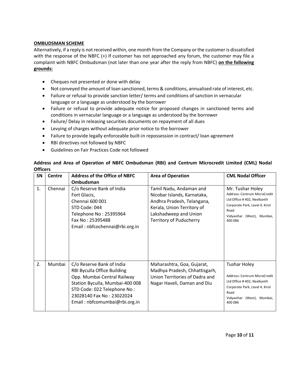## **OMBUDSMAN SCHEME**

Alternatively, if a reply is not received within, one month from the Company or the customer is dissatisfied with the response of the NBFC (+) If customer has not approached any forum, the customer may file a complaint with NBFC Ombudsman (not later than one year after the reply from NBFC) **on the following grounds:**

- Cheques not presented or done with delay
- Not conveyed the amount of loan sanctioned, terms & conditions, annualised rate of interest, etc.
- Failure or refusal to provide sanction letter/ terms and conditions of sanction in vernacular language or a language as understood by the borrower
- Failure or refusal to provide adequate notice for proposed changes in sanctioned terms and conditions in vernacular language or a language as understood by the borrower
- Failure/ Delay in releasing securities documents on repayment of all dues
- Levying of charges without adequate prior notice to the borrower
- Failure to provide legally enforceable built-in repossession in contract/ loan agreement
- RBI directives not followed by NBFC
- Guidelines on Fair Practices Code not followed

## **Address and Area of Operation of NBFC Ombudsman (RBI) and Centrum Microcredit Limited (CML) Nodal Officers**

| SN | <b>Centre</b> | <b>Address of the Office of NBFC</b>                                                                                                                                                                                    | <b>Area of Operation</b>                                                                                                                                                      | <b>CML Nodal Officer</b>                                                                                                                                             |
|----|---------------|-------------------------------------------------------------------------------------------------------------------------------------------------------------------------------------------------------------------------|-------------------------------------------------------------------------------------------------------------------------------------------------------------------------------|----------------------------------------------------------------------------------------------------------------------------------------------------------------------|
| 1. | Chennai       | Ombudsman<br>C/o Reserve Bank of India<br>Fort Glacis,<br>Chennai 600 001<br>STD Code: 044<br>Telephone No: 25395964<br>Fax No: 25395488<br>Email: nbfcochennai@rbi.org.in                                              | Tamil Nadu, Andaman and<br>Nicobar Islands, Karnataka,<br>Andhra Pradesh, Telangana,<br>Kerala, Union Territory of<br>Lakshadweep and Union<br><b>Territory of Puducherry</b> | Mr. Tushar Holey<br>Address: Centrum MicroCredit<br>Ltd Office #402, Neelkanth<br>Corporate Park, Level 4, Kirol<br>Road<br>Vidyavihar (West), Mumbai,<br>400 086    |
| 2. | Mumbai        | C/o Reserve Bank of India<br>RBI Byculla Office Building<br>Opp. Mumbai Central Railway<br>Station Byculla, Mumbai-400 008<br>STD Code: 022 Telephone No:<br>23028140 Fax No: 23022024<br>Email: nbfcomumbai@rbi.org.in | Maharashtra, Goa, Gujarat,<br>Madhya Pradesh, Chhattisgarh,<br>Union Territories of Dadra and<br>Nagar Haveli, Daman and Diu                                                  | <b>Tushar Holey</b><br>Address: Centrum MicroCredit<br>Ltd Office #402, Neelkanth<br>Corporate Park, Level 4, Kirol<br>Road<br>Vidyavihar (West), Mumbai,<br>400 086 |